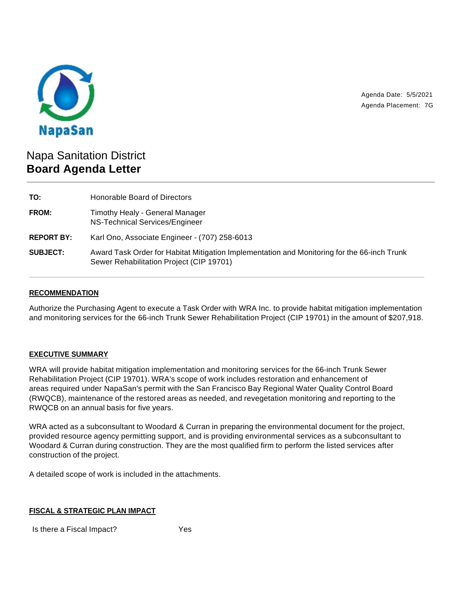

Agenda Date: 5/5/2021 Agenda Placement: 7G

# Napa Sanitation District **Board Agenda Letter**

| TO:               | Honorable Board of Directors                                                                                                            |
|-------------------|-----------------------------------------------------------------------------------------------------------------------------------------|
| FROM:             | Timothy Healy - General Manager<br>NS-Technical Services/Engineer                                                                       |
| <b>REPORT BY:</b> | Karl Ono, Associate Engineer - (707) 258-6013                                                                                           |
| <b>SUBJECT:</b>   | Award Task Order for Habitat Mitigation Implementation and Monitoring for the 66-inch Trunk<br>Sewer Rehabilitation Project (CIP 19701) |

## **RECOMMENDATION**

Authorize the Purchasing Agent to execute a Task Order with WRA Inc. to provide habitat mitigation implementation and monitoring services for the 66-inch Trunk Sewer Rehabilitation Project (CIP 19701) in the amount of \$207,918.

### **EXECUTIVE SUMMARY**

WRA will provide habitat mitigation implementation and monitoring services for the 66-inch Trunk Sewer Rehabilitation Project (CIP 19701). WRA's scope of work includes restoration and enhancement of areas required under NapaSan's permit with the San Francisco Bay Regional Water Quality Control Board (RWQCB), maintenance of the restored areas as needed, and revegetation monitoring and reporting to the RWQCB on an annual basis for five years.

WRA acted as a subconsultant to Woodard & Curran in preparing the environmental document for the project, provided resource agency permitting support, and is providing environmental services as a subconsultant to Woodard & Curran during construction. They are the most qualified firm to perform the listed services after construction of the project.

A detailed scope of work is included in the attachments.

### **FISCAL & STRATEGIC PLAN IMPACT**

Is there a Fiscal Impact? Yes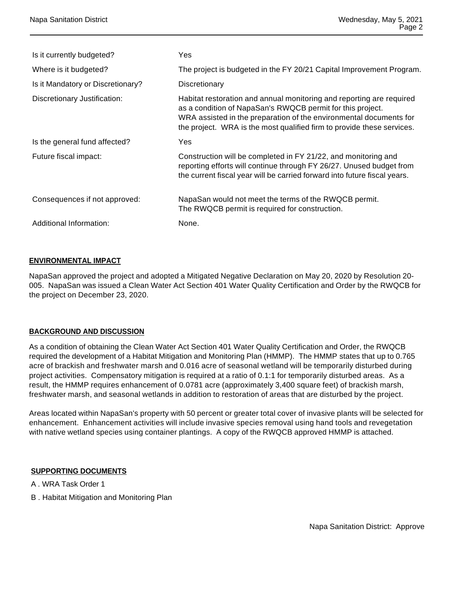| Is it currently budgeted?         | Yes                                                                                                                                                                                                                                                                                |
|-----------------------------------|------------------------------------------------------------------------------------------------------------------------------------------------------------------------------------------------------------------------------------------------------------------------------------|
| Where is it budgeted?             | The project is budgeted in the FY 20/21 Capital Improvement Program.                                                                                                                                                                                                               |
| Is it Mandatory or Discretionary? | Discretionary                                                                                                                                                                                                                                                                      |
| Discretionary Justification:      | Habitat restoration and annual monitoring and reporting are required<br>as a condition of NapaSan's RWQCB permit for this project.<br>WRA assisted in the preparation of the environmental documents for<br>the project. WRA is the most qualified firm to provide these services. |
| Is the general fund affected?     | Yes                                                                                                                                                                                                                                                                                |
| Future fiscal impact:             | Construction will be completed in FY 21/22, and monitoring and<br>reporting efforts will continue through FY 26/27. Unused budget from<br>the current fiscal year will be carried forward into future fiscal years.                                                                |
| Consequences if not approved:     | NapaSan would not meet the terms of the RWQCB permit.<br>The RWQCB permit is required for construction.                                                                                                                                                                            |
| Additional Information:           | None.                                                                                                                                                                                                                                                                              |

### **ENVIRONMENTAL IMPACT**

NapaSan approved the project and adopted a Mitigated Negative Declaration on May 20, 2020 by Resolution 20- 005. NapaSan was issued a Clean Water Act Section 401 Water Quality Certification and Order by the RWQCB for the project on December 23, 2020.

### **BACKGROUND AND DISCUSSION**

As a condition of obtaining the Clean Water Act Section 401 Water Quality Certification and Order, the RWQCB required the development of a Habitat Mitigation and Monitoring Plan (HMMP). The HMMP states that up to 0.765 acre of brackish and freshwater marsh and 0.016 acre of seasonal wetland will be temporarily disturbed during project activities. Compensatory mitigation is required at a ratio of 0.1:1 for temporarily disturbed areas. As a result, the HMMP requires enhancement of 0.0781 acre (approximately 3,400 square feet) of brackish marsh, freshwater marsh, and seasonal wetlands in addition to restoration of areas that are disturbed by the project.

Areas located within NapaSan's property with 50 percent or greater total cover of invasive plants will be selected for enhancement. Enhancement activities will include invasive species removal using hand tools and revegetation with native wetland species using container plantings. A copy of the RWQCB approved HMMP is attached.

### **SUPPORTING DOCUMENTS**

- A . WRA Task Order 1
- B . Habitat Mitigation and Monitoring Plan